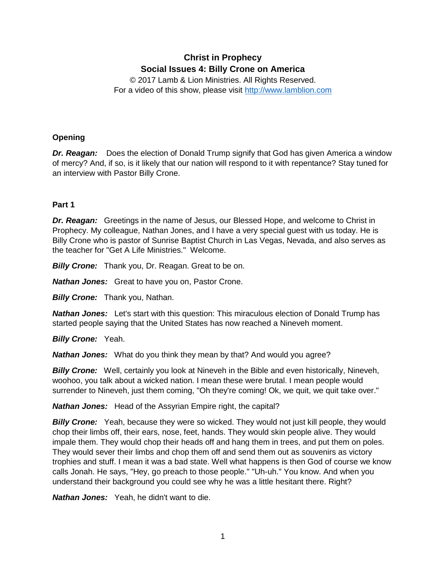# **Christ in Prophecy Social Issues 4: Billy Crone on America**

© 2017 Lamb & Lion Ministries. All Rights Reserved. For a video of this show, please visit [http://www.lamblion.com](http://www.lamblion.com/)

# **Opening**

*Dr. Reagan:* Does the election of Donald Trump signify that God has given America a window of mercy? And, if so, is it likely that our nation will respond to it with repentance? Stay tuned for an interview with Pastor Billy Crone.

# **Part 1**

*Dr. Reagan:* Greetings in the name of Jesus, our Blessed Hope, and welcome to Christ in Prophecy. My colleague, Nathan Jones, and I have a very special guest with us today. He is Billy Crone who is pastor of Sunrise Baptist Church in Las Vegas, Nevada, and also serves as the teacher for "Get A Life Ministries." Welcome.

*Billy Crone:* Thank you, Dr. Reagan. Great to be on.

*Nathan Jones:* Great to have you on, Pastor Crone.

*Billy Crone:* Thank you, Nathan.

*Nathan Jones:* Let's start with this question: This miraculous election of Donald Trump has started people saying that the United States has now reached a Nineveh moment.

*Billy Crone:* Yeah.

*Nathan Jones:* What do you think they mean by that? And would you agree?

*Billy Crone:* Well, certainly you look at Nineveh in the Bible and even historically, Nineveh, woohoo, you talk about a wicked nation. I mean these were brutal. I mean people would surrender to Nineveh, just them coming, "Oh they're coming! Ok, we quit, we quit take over."

*Nathan Jones:* Head of the Assyrian Empire right, the capital?

**Billy Crone:** Yeah, because they were so wicked. They would not just kill people, they would chop their limbs off, their ears, nose, feet, hands. They would skin people alive. They would impale them. They would chop their heads off and hang them in trees, and put them on poles. They would sever their limbs and chop them off and send them out as souvenirs as victory trophies and stuff. I mean it was a bad state. Well what happens is then God of course we know calls Jonah. He says, "Hey, go preach to those people." "Uh-uh." You know. And when you understand their background you could see why he was a little hesitant there. Right?

*Nathan Jones:* Yeah, he didn't want to die.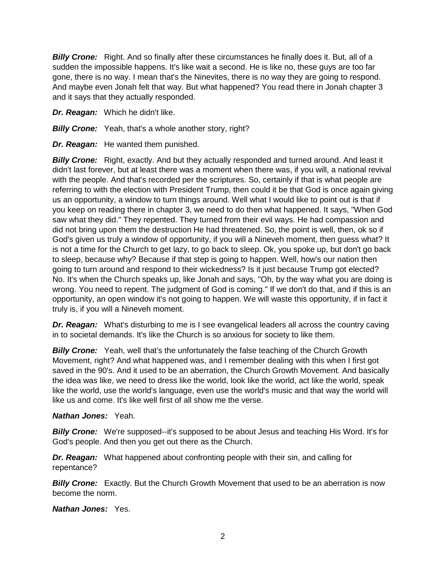*Billy Crone:* Right. And so finally after these circumstances he finally does it. But, all of a sudden the impossible happens. It's like wait a second. He is like no, these guys are too far gone, there is no way. I mean that's the Ninevites, there is no way they are going to respond. And maybe even Jonah felt that way. But what happened? You read there in Jonah chapter 3 and it says that they actually responded.

- *Dr. Reagan:* Which he didn't like.
- **Billy Crone:** Yeah, that's a whole another story, right?
- *Dr. Reagan:* He wanted them punished.

**Billy Crone:** Right, exactly. And but they actually responded and turned around. And least it didn't last forever, but at least there was a moment when there was, if you will, a national revival with the people. And that's recorded per the scriptures. So, certainly if that is what people are referring to with the election with President Trump, then could it be that God is once again giving us an opportunity, a window to turn things around. Well what I would like to point out is that if you keep on reading there in chapter 3, we need to do then what happened. It says, "When God saw what they did." They repented. They turned from their evil ways. He had compassion and did not bring upon them the destruction He had threatened. So, the point is well, then, ok so if God's given us truly a window of opportunity, if you will a Nineveh moment, then guess what? It is not a time for the Church to get lazy, to go back to sleep. Ok, you spoke up, but don't go back to sleep, because why? Because if that step is going to happen. Well, how's our nation then going to turn around and respond to their wickedness? Is it just because Trump got elected? No. It's when the Church speaks up, like Jonah and says, "Oh, by the way what you are doing is wrong. You need to repent. The judgment of God is coming." If we don't do that, and if this is an opportunity, an open window it's not going to happen. We will waste this opportunity, if in fact it truly is, if you will a Nineveh moment.

**Dr. Reagan:** What's disturbing to me is I see evangelical leaders all across the country caving in to societal demands. It's like the Church is so anxious for society to like them.

**Billy Crone:** Yeah, well that's the unfortunately the false teaching of the Church Growth Movement, right? And what happened was, and I remember dealing with this when I first got saved in the 90's. And it used to be an aberration, the Church Growth Movement. And basically the idea was like, we need to dress like the world, look like the world, act like the world, speak like the world, use the world's language, even use the world's music and that way the world will like us and come. It's like well first of all show me the verse.

#### *Nathan Jones:* Yeah.

**Billy Crone:** We're supposed--it's supposed to be about Jesus and teaching His Word. It's for God's people. And then you get out there as the Church.

*Dr. Reagan:* What happened about confronting people with their sin, and calling for repentance?

**Billy Crone:** Exactly. But the Church Growth Movement that used to be an aberration is now become the norm.

*Nathan Jones:* Yes.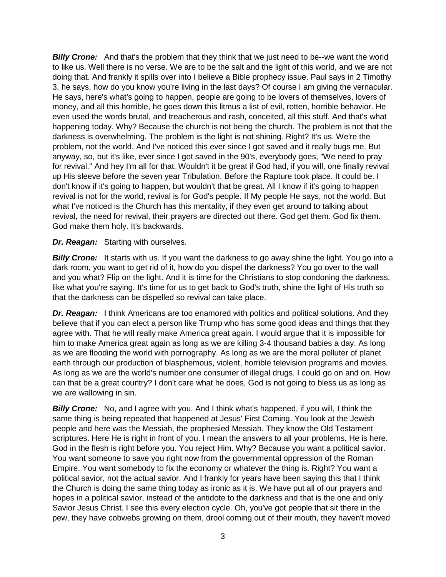**Billy Crone:** And that's the problem that they think that we just need to be--we want the world to like us. Well there is no verse. We are to be the salt and the light of this world, and we are not doing that. And frankly it spills over into I believe a Bible prophecy issue. Paul says in 2 Timothy 3, he says, how do you know you're living in the last days? Of course I am giving the vernacular. He says, here's what's going to happen, people are going to be lovers of themselves, lovers of money, and all this horrible, he goes down this litmus a list of evil, rotten, horrible behavior. He even used the words brutal, and treacherous and rash, conceited, all this stuff. And that's what happening today. Why? Because the church is not being the church. The problem is not that the darkness is overwhelming. The problem is the light is not shining. Right? It's us. We're the problem, not the world. And I've noticed this ever since I got saved and it really bugs me. But anyway, so, but it's like, ever since I got saved in the 90's, everybody goes, "We need to pray for revival." And hey I'm all for that. Wouldn't it be great if God had, if you will, one finally revival up His sleeve before the seven year Tribulation. Before the Rapture took place. It could be. I don't know if it's going to happen, but wouldn't that be great. All I know if it's going to happen revival is not for the world, revival is for God's people. If My people He says, not the world. But what I've noticed is the Church has this mentality, if they even get around to talking about revival, the need for revival, their prayers are directed out there. God get them. God fix them. God make them holy. It's backwards.

# *Dr. Reagan:* Starting with ourselves.

**Billy Crone:** It starts with us. If you want the darkness to go away shine the light. You go into a dark room, you want to get rid of it, how do you dispel the darkness? You go over to the wall and you what? Flip on the light. And it is time for the Christians to stop condoning the darkness, like what you're saying. It's time for us to get back to God's truth, shine the light of His truth so that the darkness can be dispelled so revival can take place.

*Dr. Reagan:* I think Americans are too enamored with politics and political solutions. And they believe that if you can elect a person like Trump who has some good ideas and things that they agree with. That he will really make America great again. I would argue that it is impossible for him to make America great again as long as we are killing 3-4 thousand babies a day. As long as we are flooding the world with pornography. As long as we are the moral polluter of planet earth through our production of blasphemous, violent, horrible television programs and movies. As long as we are the world's number one consumer of illegal drugs. I could go on and on. How can that be a great country? I don't care what he does, God is not going to bless us as long as we are wallowing in sin.

**Billy Crone:** No, and I agree with you. And I think what's happened, if you will, I think the same thing is being repeated that happened at Jesus' First Coming. You look at the Jewish people and here was the Messiah, the prophesied Messiah. They know the Old Testament scriptures. Here He is right in front of you. I mean the answers to all your problems, He is here. God in the flesh is right before you. You reject Him. Why? Because you want a political savior. You want someone to save you right now from the governmental oppression of the Roman Empire. You want somebody to fix the economy or whatever the thing is. Right? You want a political savior, not the actual savior. And I frankly for years have been saying this that I think the Church is doing the same thing today as ironic as it is. We have put all of our prayers and hopes in a political savior, instead of the antidote to the darkness and that is the one and only Savior Jesus Christ. I see this every election cycle. Oh, you've got people that sit there in the pew, they have cobwebs growing on them, drool coming out of their mouth, they haven't moved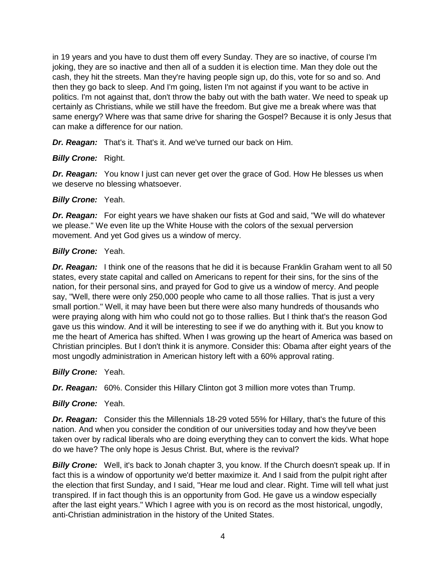in 19 years and you have to dust them off every Sunday. They are so inactive, of course I'm joking, they are so inactive and then all of a sudden it is election time. Man they dole out the cash, they hit the streets. Man they're having people sign up, do this, vote for so and so. And then they go back to sleep. And I'm going, listen I'm not against if you want to be active in politics. I'm not against that, don't throw the baby out with the bath water. We need to speak up certainly as Christians, while we still have the freedom. But give me a break where was that same energy? Where was that same drive for sharing the Gospel? Because it is only Jesus that can make a difference for our nation.

*Dr. Reagan:* That's it. That's it. And we've turned our back on Him.

# *Billy Crone:* Right.

**Dr. Reagan:** You know I just can never get over the grace of God. How He blesses us when we deserve no blessing whatsoever.

# *Billy Crone:* Yeah.

*Dr. Reagan:* For eight years we have shaken our fists at God and said, "We will do whatever we please." We even lite up the White House with the colors of the sexual perversion movement. And yet God gives us a window of mercy.

#### *Billy Crone:* Yeah.

*Dr. Reagan:* I think one of the reasons that he did it is because Franklin Graham went to all 50 states, every state capital and called on Americans to repent for their sins, for the sins of the nation, for their personal sins, and prayed for God to give us a window of mercy. And people say, "Well, there were only 250,000 people who came to all those rallies. That is just a very small portion." Well, it may have been but there were also many hundreds of thousands who were praying along with him who could not go to those rallies. But I think that's the reason God gave us this window. And it will be interesting to see if we do anything with it. But you know to me the heart of America has shifted. When I was growing up the heart of America was based on Christian principles. But I don't think it is anymore. Consider this: Obama after eight years of the most ungodly administration in American history left with a 60% approval rating.

*Billy Crone:* Yeah.

*Dr. Reagan:* 60%. Consider this Hillary Clinton got 3 million more votes than Trump.

*Billy Crone:* Yeah.

*Dr. Reagan:* Consider this the Millennials 18-29 voted 55% for Hillary, that's the future of this nation. And when you consider the condition of our universities today and how they've been taken over by radical liberals who are doing everything they can to convert the kids. What hope do we have? The only hope is Jesus Christ. But, where is the revival?

*Billy Crone:* Well, it's back to Jonah chapter 3, you know. If the Church doesn't speak up. If in fact this is a window of opportunity we'd better maximize it. And I said from the pulpit right after the election that first Sunday, and I said, "Hear me loud and clear. Right. Time will tell what just transpired. If in fact though this is an opportunity from God. He gave us a window especially after the last eight years." Which I agree with you is on record as the most historical, ungodly, anti-Christian administration in the history of the United States.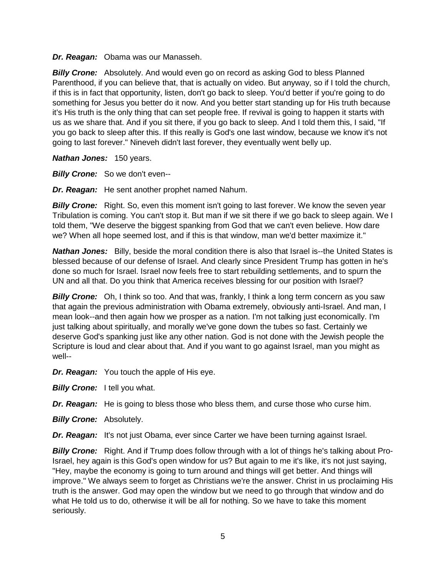*Dr. Reagan:* Obama was our Manasseh.

*Billy Crone:* Absolutely. And would even go on record as asking God to bless Planned Parenthood, if you can believe that, that is actually on video. But anyway, so if I told the church, if this is in fact that opportunity, listen, don't go back to sleep. You'd better if you're going to do something for Jesus you better do it now. And you better start standing up for His truth because it's His truth is the only thing that can set people free. If revival is going to happen it starts with us as we share that. And if you sit there, if you go back to sleep. And I told them this, I said, "If you go back to sleep after this. If this really is God's one last window, because we know it's not going to last forever." Nineveh didn't last forever, they eventually went belly up.

*Nathan Jones:* 150 years.

*Billy Crone:* So we don't even--

*Dr. Reagan:* He sent another prophet named Nahum.

**Billy Crone:** Right. So, even this moment isn't going to last forever. We know the seven year Tribulation is coming. You can't stop it. But man if we sit there if we go back to sleep again. We I told them, "We deserve the biggest spanking from God that we can't even believe. How dare we? When all hope seemed lost, and if this is that window, man we'd better maximize it."

*Nathan Jones:* Billy, beside the moral condition there is also that Israel is--the United States is blessed because of our defense of Israel. And clearly since President Trump has gotten in he's done so much for Israel. Israel now feels free to start rebuilding settlements, and to spurn the UN and all that. Do you think that America receives blessing for our position with Israel?

**Billy Crone:** Oh, I think so too. And that was, frankly, I think a long term concern as you saw that again the previous administration with Obama extremely, obviously anti-Israel. And man, I mean look--and then again how we prosper as a nation. I'm not talking just economically. I'm just talking about spiritually, and morally we've gone down the tubes so fast. Certainly we deserve God's spanking just like any other nation. God is not done with the Jewish people the Scripture is loud and clear about that. And if you want to go against Israel, man you might as well--

*Dr. Reagan:* You touch the apple of His eye.

**Billy Crone:** I tell you what.

*Dr. Reagan:* He is going to bless those who bless them, and curse those who curse him.

*Billy Crone:* Absolutely.

*Dr. Reagan:* It's not just Obama, ever since Carter we have been turning against Israel.

*Billy Crone:* Right. And if Trump does follow through with a lot of things he's talking about Pro-Israel, hey again is this God's open window for us? But again to me it's like, it's not just saying, "Hey, maybe the economy is going to turn around and things will get better. And things will improve." We always seem to forget as Christians we're the answer. Christ in us proclaiming His truth is the answer. God may open the window but we need to go through that window and do what He told us to do, otherwise it will be all for nothing. So we have to take this moment seriously.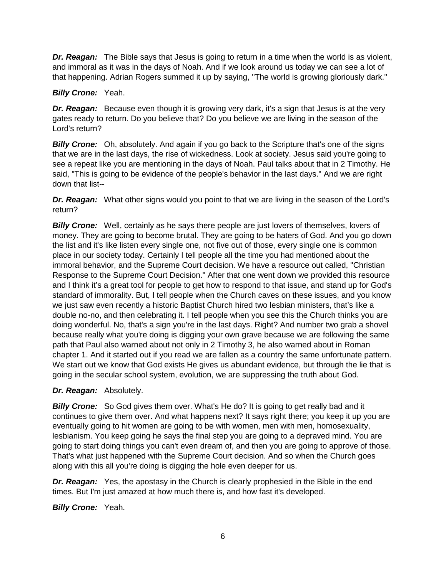*Dr. Reagan:* The Bible says that Jesus is going to return in a time when the world is as violent, and immoral as it was in the days of Noah. And if we look around us today we can see a lot of that happening. Adrian Rogers summed it up by saying, "The world is growing gloriously dark."

# *Billy Crone:* Yeah.

*Dr. Reagan:* Because even though it is growing very dark, it's a sign that Jesus is at the very gates ready to return. Do you believe that? Do you believe we are living in the season of the Lord's return?

**Billy Crone:** Oh, absolutely. And again if you go back to the Scripture that's one of the signs that we are in the last days, the rise of wickedness. Look at society. Jesus said you're going to see a repeat like you are mentioning in the days of Noah. Paul talks about that in 2 Timothy. He said, "This is going to be evidence of the people's behavior in the last days." And we are right down that list--

**Dr. Reagan:** What other signs would you point to that we are living in the season of the Lord's return?

*Billy Crone:* Well, certainly as he says there people are just lovers of themselves, lovers of money. They are going to become brutal. They are going to be haters of God. And you go down the list and it's like listen every single one, not five out of those, every single one is common place in our society today. Certainly I tell people all the time you had mentioned about the immoral behavior, and the Supreme Court decision. We have a resource out called, "Christian Response to the Supreme Court Decision." After that one went down we provided this resource and I think it's a great tool for people to get how to respond to that issue, and stand up for God's standard of immorality. But, I tell people when the Church caves on these issues, and you know we just saw even recently a historic Baptist Church hired two lesbian ministers, that's like a double no-no, and then celebrating it. I tell people when you see this the Church thinks you are doing wonderful. No, that's a sign you're in the last days. Right? And number two grab a shovel because really what you're doing is digging your own grave because we are following the same path that Paul also warned about not only in 2 Timothy 3, he also warned about in Roman chapter 1. And it started out if you read we are fallen as a country the same unfortunate pattern. We start out we know that God exists He gives us abundant evidence, but through the lie that is going in the secular school system, evolution, we are suppressing the truth about God.

# *Dr. Reagan:* Absolutely.

**Billy Crone:** So God gives them over. What's He do? It is going to get really bad and it continues to give them over. And what happens next? It says right there; you keep it up you are eventually going to hit women are going to be with women, men with men, homosexuality, lesbianism. You keep going he says the final step you are going to a depraved mind. You are going to start doing things you can't even dream of, and then you are going to approve of those. That's what just happened with the Supreme Court decision. And so when the Church goes along with this all you're doing is digging the hole even deeper for us.

*Dr. Reagan:* Yes, the apostasy in the Church is clearly prophesied in the Bible in the end times. But I'm just amazed at how much there is, and how fast it's developed.

*Billy Crone:* Yeah.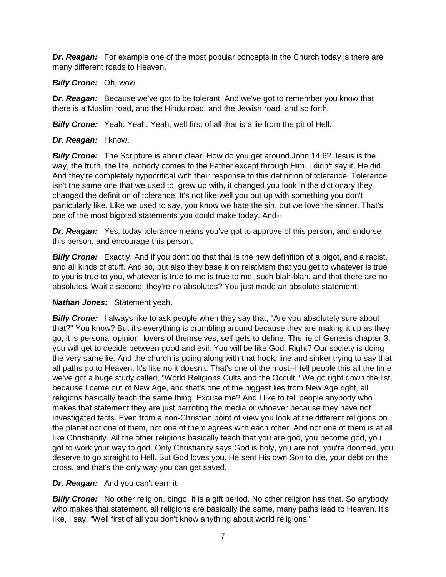*Dr. Reagan:* For example one of the most popular concepts in the Church today is there are many different roads to Heaven.

*Billy Crone:* Oh, wow.

*Dr. Reagan:* Because we've got to be tolerant. And we've got to remember you know that there is a Muslim road, and the Hindu road, and the Jewish road, and so forth.

*Billy Crone:* Yeah. Yeah. Yeah, well first of all that is a lie from the pit of Hell.

*Dr. Reagan:* I know.

**Billy Crone:** The Scripture is about clear. How do you get around John 14:6? Jesus is the way, the truth, the life, nobody comes to the Father except through Him. I didn't say it, He did. And they're completely hypocritical with their response to this definition of tolerance. Tolerance isn't the same one that we used to, grew up with, it changed you look in the dictionary they changed the definition of tolerance. It's not like well you put up with something you don't particularly like. Like we used to say, you know we hate the sin, but we love the sinner. That's one of the most bigoted statements you could make today. And--

*Dr. Reagan:* Yes, today tolerance means you've got to approve of this person, and endorse this person, and encourage this person.

**Billy Crone:** Exactly. And if you don't do that that is the new definition of a bigot, and a racist, and all kinds of stuff. And so, but also they base it on relativism that you get to whatever is true to you is true to you, whatever is true to me is true to me, such blah-blah, and that there are no absolutes. Wait a second, they're no absolutes? You just made an absolute statement.

*Nathan Jones:* Statement yeah.

**Billy Crone:** I always like to ask people when they say that, "Are you absolutely sure about that?" You know? But it's everything is crumbling around because they are making it up as they go, it is personal opinion, lovers of themselves, self gets to define. The lie of Genesis chapter 3, you will get to decide between good and evil. You will be like God. Right? Our society is doing the very same lie. And the church is going along with that hook, line and sinker trying to say that all paths go to Heaven. It's like no it doesn't. That's one of the most--I tell people this all the time we've got a huge study called, "World Religions Cults and the Occult." We go right down the list, because I came out of New Age, and that's one of the biggest lies from New Age right, all religions basically teach the same thing. Excuse me? And I like to tell people anybody who makes that statement they are just parroting the media or whoever because they have not investigated facts. Even from a non-Christian point of view you look at the different religions on the planet not one of them, not one of them agrees with each other. And not one of them is at all like Christianity. All the other religions basically teach that you are god, you become god, you got to work your way to god. Only Christianity says God is holy, you are not, you're doomed, you deserve to go straight to Hell. But God loves you. He sent His own Son to die, your debt on the cross, and that's the only way you can get saved.

*Dr. Reagan:* And you can't earn it.

**Billy Crone:** No other religion, bingo, it is a gift period. No other religion has that. So anybody who makes that statement, all religions are basically the same, many paths lead to Heaven. It's like, I say, "Well first of all you don't know anything about world religions."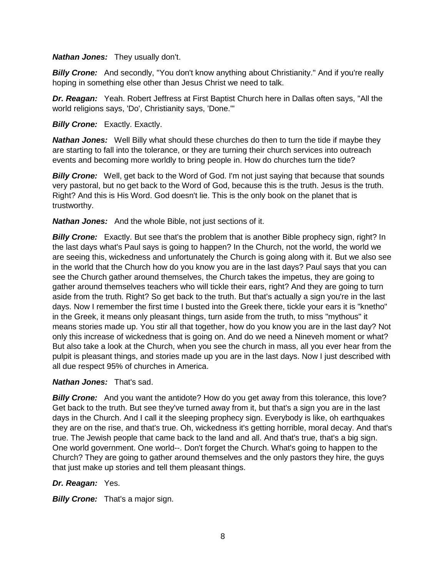#### *Nathan Jones:* They usually don't.

**Billy Crone:** And secondly, "You don't know anything about Christianity." And if you're really hoping in something else other than Jesus Christ we need to talk.

*Dr. Reagan:* Yeah. Robert Jeffress at First Baptist Church here in Dallas often says, "All the world religions says, 'Do', Christianity says, 'Done.'"

#### **Billy Crone:** Exactly. Exactly.

*Nathan Jones:* Well Billy what should these churches do then to turn the tide if maybe they are starting to fall into the tolerance, or they are turning their church services into outreach events and becoming more worldly to bring people in. How do churches turn the tide?

**Billy Crone:** Well, get back to the Word of God. I'm not just saying that because that sounds very pastoral, but no get back to the Word of God, because this is the truth. Jesus is the truth. Right? And this is His Word. God doesn't lie. This is the only book on the planet that is trustworthy.

*Nathan Jones:* And the whole Bible, not just sections of it.

**Billy Crone:** Exactly. But see that's the problem that is another Bible prophecy sign, right? In the last days what's Paul says is going to happen? In the Church, not the world, the world we are seeing this, wickedness and unfortunately the Church is going along with it. But we also see in the world that the Church how do you know you are in the last days? Paul says that you can see the Church gather around themselves, the Church takes the impetus, they are going to gather around themselves teachers who will tickle their ears, right? And they are going to turn aside from the truth. Right? So get back to the truth. But that's actually a sign you're in the last days. Now I remember the first time I busted into the Greek there, tickle your ears it is "knetho" in the Greek, it means only pleasant things, turn aside from the truth, to miss "mythous" it means stories made up. You stir all that together, how do you know you are in the last day? Not only this increase of wickedness that is going on. And do we need a Nineveh moment or what? But also take a look at the Church, when you see the church in mass, all you ever hear from the pulpit is pleasant things, and stories made up you are in the last days. Now I just described with all due respect 95% of churches in America.

# *Nathan Jones:* That's sad.

**Billy Crone:** And you want the antidote? How do you get away from this tolerance, this love? Get back to the truth. But see they've turned away from it, but that's a sign you are in the last days in the Church. And I call it the sleeping prophecy sign. Everybody is like, oh earthquakes they are on the rise, and that's true. Oh, wickedness it's getting horrible, moral decay. And that's true. The Jewish people that came back to the land and all. And that's true, that's a big sign. One world government. One world--. Don't forget the Church. What's going to happen to the Church? They are going to gather around themselves and the only pastors they hire, the guys that just make up stories and tell them pleasant things.

# *Dr. Reagan:* Yes.

**Billy Crone:** That's a major sign.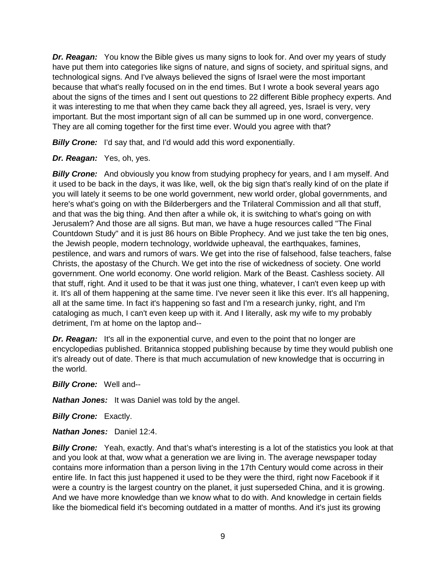*Dr. Reagan:* You know the Bible gives us many signs to look for. And over my years of study have put them into categories like signs of nature, and signs of society, and spiritual signs, and technological signs. And I've always believed the signs of Israel were the most important because that what's really focused on in the end times. But I wrote a book several years ago about the signs of the times and I sent out questions to 22 different Bible prophecy experts. And it was interesting to me that when they came back they all agreed, yes, Israel is very, very important. But the most important sign of all can be summed up in one word, convergence. They are all coming together for the first time ever. Would you agree with that?

**Billy Crone:** I'd say that, and I'd would add this word exponentially.

# *Dr. Reagan:* Yes, oh, yes.

**Billy Crone:** And obviously you know from studying prophecy for years, and I am myself. And it used to be back in the days, it was like, well, ok the big sign that's really kind of on the plate if you will lately it seems to be one world government, new world order, global governments, and here's what's going on with the Bilderbergers and the Trilateral Commission and all that stuff, and that was the big thing. And then after a while ok, it is switching to what's going on with Jerusalem? And those are all signs. But man, we have a huge resources called "The Final Countdown Study" and it is just 86 hours on Bible Prophecy. And we just take the ten big ones, the Jewish people, modern technology, worldwide upheaval, the earthquakes, famines, pestilence, and wars and rumors of wars. We get into the rise of falsehood, false teachers, false Christs, the apostasy of the Church. We get into the rise of wickedness of society. One world government. One world economy. One world religion. Mark of the Beast. Cashless society. All that stuff, right. And it used to be that it was just one thing, whatever, I can't even keep up with it. It's all of them happening at the same time. I've never seen it like this ever. It's all happening, all at the same time. In fact it's happening so fast and I'm a research junky, right, and I'm cataloging as much, I can't even keep up with it. And I literally, ask my wife to my probably detriment, I'm at home on the laptop and--

*Dr. Reagan:* It's all in the exponential curve, and even to the point that no longer are encyclopedias published. Britannica stopped publishing because by time they would publish one it's already out of date. There is that much accumulation of new knowledge that is occurring in the world.

*Billy Crone:* Well and--

*Nathan Jones:* It was Daniel was told by the angel.

*Billy Crone:* Exactly.

*Nathan Jones:* Daniel 12:4.

**Billy Crone:** Yeah, exactly. And that's what's interesting is a lot of the statistics you look at that and you look at that, wow what a generation we are living in. The average newspaper today contains more information than a person living in the 17th Century would come across in their entire life. In fact this just happened it used to be they were the third, right now Facebook if it were a country is the largest country on the planet, it just superseded China, and it is growing. And we have more knowledge than we know what to do with. And knowledge in certain fields like the biomedical field it's becoming outdated in a matter of months. And it's just its growing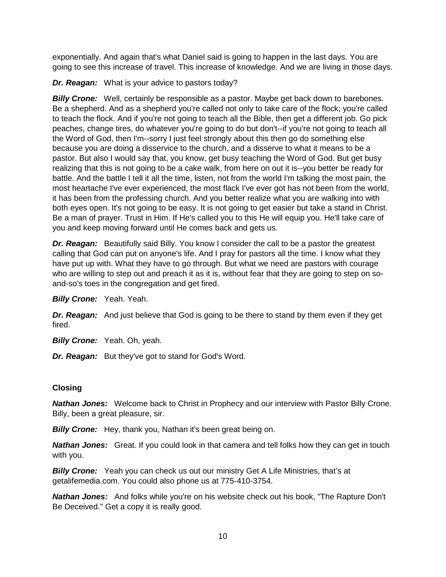exponentially. And again that's what Daniel said is going to happen in the last days. You are going to see this increase of travel. This increase of knowledge. And we are living in those days.

*Dr. Reagan:* What is your advice to pastors today?

*Billy Crone:* Well, certainly be responsible as a pastor. Maybe get back down to barebones. Be a shepherd. And as a shepherd you're called not only to take care of the flock; you're called to teach the flock. And if you're not going to teach all the Bible, then get a different job. Go pick peaches, change tires, do whatever you're going to do but don't--if you're not going to teach all the Word of God, then I'm--sorry I just feel strongly about this then go do something else because you are doing a disservice to the church, and a disserve to what it means to be a pastor. But also I would say that, you know, get busy teaching the Word of God. But get busy realizing that this is not going to be a cake walk, from here on out it is--you better be ready for battle. And the battle I tell it all the time, listen, not from the world I'm talking the most pain, the most heartache I've ever experienced, the most flack I've ever got has not been from the world, it has been from the professing church. And you better realize what you are walking into with both eyes open. It's not going to be easy. It is not going to get easier but take a stand in Christ. Be a man of prayer. Trust in Him. If He's called you to this He will equip you. He'll take care of you and keep moving forward until He comes back and gets us.

*Dr. Reagan:* Beautifully said Billy. You know I consider the call to be a pastor the greatest calling that God can put on anyone's life. And I pray for pastors all the time. I know what they have put up with. What they have to go through. But what we need are pastors with courage who are willing to step out and preach it as it is, without fear that they are going to step on soand-so's toes in the congregation and get fired.

*Billy Crone:* Yeah. Yeah.

*Dr. Reagan:* And just believe that God is going to be there to stand by them even if they get fired.

*Billy Crone:* Yeah. Oh, yeah.

*Dr. Reagan:* But they've got to stand for God's Word.

# **Closing**

*Nathan Jones:* Welcome back to Christ in Prophecy and our interview with Pastor Billy Crone. Billy, been a great pleasure, sir.

*Billy Crone:* Hey, thank you, Nathan it's been great being on.

*Nathan Jones:* Great. If you could look in that camera and tell folks how they can get in touch with you.

*Billy Crone:* Yeah you can check us out our ministry Get A Life Ministries, that's at getalifemedia.com. You could also phone us at 775-410-3754.

*Nathan Jones:* And folks while you're on his website check out his book, "The Rapture Don't Be Deceived." Get a copy it is really good.